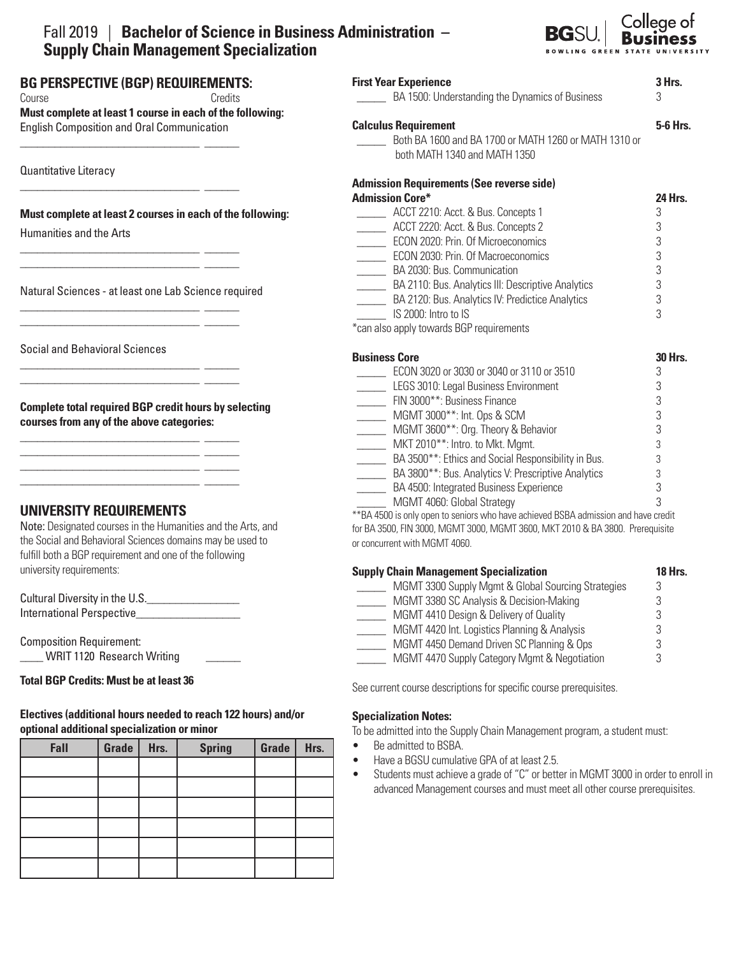# Fall 2019 | **Bachelor of Science in Business Administration – Supply Chain Management Specialization**



| <b>First Year Experience</b>                                        | 3 Hrs.         |  |  |  |
|---------------------------------------------------------------------|----------------|--|--|--|
| BA 1500: Understanding the Dynamics of Business                     |                |  |  |  |
| <b>Calculus Requirement</b>                                         | 5-6 Hrs.       |  |  |  |
| Both BA 1600 and BA 1700 or MATH 1260 or MATH 1310 or               |                |  |  |  |
| both MATH 1340 and MATH 1350                                        |                |  |  |  |
| <b>Admission Requirements (See reverse side)</b>                    |                |  |  |  |
| <b>Admission Core*</b>                                              | 24 Hrs.        |  |  |  |
| ACCT 2210: Acct. & Bus. Concepts 1                                  | 3              |  |  |  |
| ACCT 2220: Acct. & Bus. Concepts 2                                  | 3              |  |  |  |
| <b>ECON 2020: Prin. Of Microeconomics</b>                           | 3              |  |  |  |
| ECON 2030: Prin. Of Macroeconomics                                  | 3              |  |  |  |
| BA 2030: Bus. Communication                                         | 3              |  |  |  |
| BA 2110: Bus. Analytics III: Descriptive Analytics<br>$\frac{1}{2}$ | 3              |  |  |  |
| BA 2120: Bus. Analytics IV: Predictice Analytics                    | 3              |  |  |  |
| IS 2000: Intro to IS                                                | 3              |  |  |  |
| *can also apply towards BGP requirements                            |                |  |  |  |
| <b>Business Core</b>                                                | <b>30 Hrs.</b> |  |  |  |
| ECON 3020 or 3030 or 3040 or 3110 or 3510                           | 3              |  |  |  |
| LEGS 3010: Legal Business Environment                               | 3              |  |  |  |
| FIN 3000**: Business Finance                                        | 3              |  |  |  |
| MGMT 3000**: Int. Ops & SCM<br>$\frac{1}{2}$                        | 3              |  |  |  |
| MGMT 3600**: Org. Theory & Behavior                                 | 3              |  |  |  |
| MKT 2010**: Intro. to Mkt. Mgmt.                                    | 3              |  |  |  |
| BA 3500**: Ethics and Social Responsibility in Bus.                 | 3              |  |  |  |
| RA 3800 <sup>**</sup> Rus Analytics V Prescriptive Analytics        | 5              |  |  |  |

 \_\_\_\_\_ BA 3800\*\*: Bus. Analytics V: Prescriptive Analytics 3 BA 4500: Integrated Business Experience MGMT 4060: Global Strategy 3

\*\*BA 4500 is only open to seniors who have achieved BSBA admission and have credit for BA 3500, FIN 3000, MGMT 3000, MGMT 3600, MKT 2010 & BA 3800. Prerequisite or concurrent with MGMT 4060.

| <b>Supply Chain Management Specialization</b>      |   |  |  |
|----------------------------------------------------|---|--|--|
| MGMT 3300 Supply Mgmt & Global Sourcing Strategies | 3 |  |  |
| MGMT 3380 SC Analysis & Decision-Making            |   |  |  |
| MGMT 4410 Design & Delivery of Quality             |   |  |  |
| MGMT 4420 Int. Logistics Planning & Analysis       |   |  |  |
| MGMT 4450 Demand Driven SC Planning & Ops          |   |  |  |
| MGMT 4470 Supply Category Mgmt & Negotiation       |   |  |  |

See current course descriptions for specific course prerequisites.

# **Specialization Notes:**

To be admitted into the Supply Chain Management program, a student must:

- Be admitted to BSBA.
- Have a BGSU cumulative GPA of at least 2.5.
- Students must achieve a grade of "C" or better in MGMT 3000 in order to enroll in advanced Management courses and must meet all other course prerequisites.

**BG PERSPECTIVE (BGP) REQUIREMENTS:**  Course **Course** Credits **Must complete at least 1 course in each of the following:** 

English Composition and Oral Communication \_\_\_\_\_\_\_\_\_\_\_\_\_\_\_\_\_\_\_\_\_\_\_\_\_\_\_\_\_\_\_ \_\_\_\_\_\_

Quantitative Literacy

# **Must complete at least 2 courses in each of the following:**

\_\_\_\_\_\_\_\_\_\_\_\_\_\_\_\_\_\_\_\_\_\_\_\_\_\_\_\_\_\_\_ \_\_\_\_\_\_

\_\_\_\_\_\_\_\_\_\_\_\_\_\_\_\_\_\_\_\_\_\_\_\_\_\_\_\_\_\_\_ \_\_\_\_\_\_ \_\_\_\_\_\_\_\_\_\_\_\_\_\_\_\_\_\_\_\_\_\_\_\_\_\_\_\_\_\_\_ \_\_\_\_\_\_

\_\_\_\_\_\_\_\_\_\_\_\_\_\_\_\_\_\_\_\_\_\_\_\_\_\_\_\_\_\_\_ \_\_\_\_\_\_ \_\_\_\_\_\_\_\_\_\_\_\_\_\_\_\_\_\_\_\_\_\_\_\_\_\_\_\_\_\_\_ \_\_\_\_\_\_

\_\_\_\_\_\_\_\_\_\_\_\_\_\_\_\_\_\_\_\_\_\_\_\_\_\_\_\_\_\_\_ \_\_\_\_\_\_ \_\_\_\_\_\_\_\_\_\_\_\_\_\_\_\_\_\_\_\_\_\_\_\_\_\_\_\_\_\_\_ \_\_\_\_\_\_

\_\_\_\_\_\_\_\_\_\_\_\_\_\_\_\_\_\_\_\_\_\_\_\_\_\_\_\_\_\_\_ \_\_\_\_\_\_ \_\_\_\_\_\_\_\_\_\_\_\_\_\_\_\_\_\_\_\_\_\_\_\_\_\_\_\_\_\_\_ \_\_\_\_\_\_ \_\_\_\_\_\_\_\_\_\_\_\_\_\_\_\_\_\_\_\_\_\_\_\_\_\_\_\_\_\_\_ \_\_\_\_\_\_ \_\_\_\_\_\_\_\_\_\_\_\_\_\_\_\_\_\_\_\_\_\_\_\_\_\_\_\_\_\_\_ \_\_\_\_\_\_

Humanities and the Arts

Natural Sciences - at least one Lab Science required

Social and Behavioral Sciences

**Complete total required BGP credit hours by selecting courses from any of the above categories:**

# **UNIVERSITY REQUIREMENTS**

Note: Designated courses in the Humanities and the Arts, and the Social and Behavioral Sciences domains may be used to fulfill both a BGP requirement and one of the following university requirements:

Cultural Diversity in the U.S.\_\_\_\_\_\_\_\_\_\_\_\_\_\_\_\_ International Perspective

Composition Requirement: \_\_\_\_ WRIT 1120 Research Writing \_\_\_\_\_\_

#### $\overline{a}$ **Total BGP Credits: Must be at least 36**

# **Electives (additional hours needed to reach 122 hours) and/or optional additional specialization or minor**

| Fall | Grade | Hrs. | <b>Spring</b> | Grade | Hrs. |
|------|-------|------|---------------|-------|------|
|      |       |      |               |       |      |
|      |       |      |               |       |      |
|      |       |      |               |       |      |
|      |       |      |               |       |      |
|      |       |      |               |       |      |
|      |       |      |               |       |      |